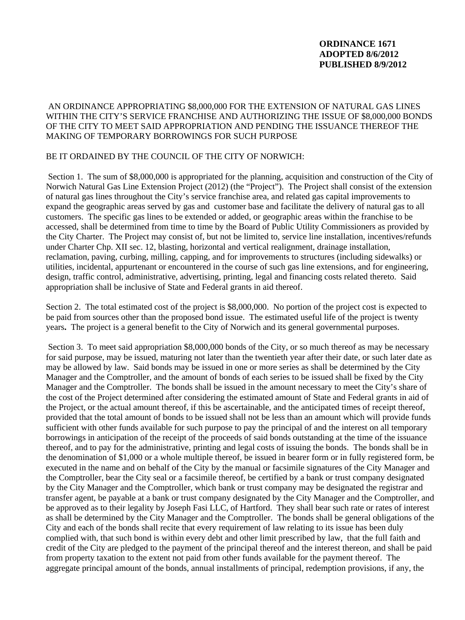## **ORDINANCE 1671 ADOPTED 8/6/2012 PUBLISHED 8/9/2012**

## AN ORDINANCE APPROPRIATING \$8,000,000 FOR THE EXTENSION OF NATURAL GAS LINES WITHIN THE CITY'S SERVICE FRANCHISE AND AUTHORIZING THE ISSUE OF \$8,000,000 BONDS OF THE CITY TO MEET SAID APPROPRIATION AND PENDING THE ISSUANCE THEREOF THE MAKING OF TEMPORARY BORROWINGS FOR SUCH PURPOSE

## BE IT ORDAINED BY THE COUNCIL OF THE CITY OF NORWICH:

 Section 1. The sum of \$8,000,000 is appropriated for the planning, acquisition and construction of the City of Norwich Natural Gas Line Extension Project (2012) (the "Project"). The Project shall consist of the extension of natural gas lines throughout the City's service franchise area, and related gas capital improvements to expand the geographic areas served by gas and customer base and facilitate the delivery of natural gas to all customers. The specific gas lines to be extended or added, or geographic areas within the franchise to be accessed, shall be determined from time to time by the Board of Public Utility Commissioners as provided by the City Charter. The Project may consist of, but not be limited to, service line installation, incentives/refunds under Charter Chp. XII sec. 12, blasting, horizontal and vertical realignment, drainage installation, reclamation, paving, curbing, milling, capping, and for improvements to structures (including sidewalks) or utilities, incidental, appurtenant or encountered in the course of such gas line extensions, and for engineering, design, traffic control, administrative, advertising, printing, legal and financing costs related thereto. Said appropriation shall be inclusive of State and Federal grants in aid thereof.

Section 2. The total estimated cost of the project is \$8,000,000. No portion of the project cost is expected to be paid from sources other than the proposed bond issue. The estimated useful life of the project is twenty years**.** The project is a general benefit to the City of Norwich and its general governmental purposes.

Section 3. To meet said appropriation \$8,000,000 bonds of the City, or so much thereof as may be necessary for said purpose, may be issued, maturing not later than the twentieth year after their date, or such later date as may be allowed by law. Said bonds may be issued in one or more series as shall be determined by the City Manager and the Comptroller, and the amount of bonds of each series to be issued shall be fixed by the City Manager and the Comptroller. The bonds shall be issued in the amount necessary to meet the City's share of the cost of the Project determined after considering the estimated amount of State and Federal grants in aid of the Project, or the actual amount thereof, if this be ascertainable, and the anticipated times of receipt thereof, provided that the total amount of bonds to be issued shall not be less than an amount which will provide funds sufficient with other funds available for such purpose to pay the principal of and the interest on all temporary borrowings in anticipation of the receipt of the proceeds of said bonds outstanding at the time of the issuance thereof, and to pay for the administrative, printing and legal costs of issuing the bonds. The bonds shall be in the denomination of \$1,000 or a whole multiple thereof, be issued in bearer form or in fully registered form, be executed in the name and on behalf of the City by the manual or facsimile signatures of the City Manager and the Comptroller, bear the City seal or a facsimile thereof, be certified by a bank or trust company designated by the City Manager and the Comptroller, which bank or trust company may be designated the registrar and transfer agent, be payable at a bank or trust company designated by the City Manager and the Comptroller, and be approved as to their legality by Joseph Fasi LLC, of Hartford. They shall bear such rate or rates of interest as shall be determined by the City Manager and the Comptroller. The bonds shall be general obligations of the City and each of the bonds shall recite that every requirement of law relating to its issue has been duly complied with, that such bond is within every debt and other limit prescribed by law, that the full faith and credit of the City are pledged to the payment of the principal thereof and the interest thereon, and shall be paid from property taxation to the extent not paid from other funds available for the payment thereof. The aggregate principal amount of the bonds, annual installments of principal, redemption provisions, if any, the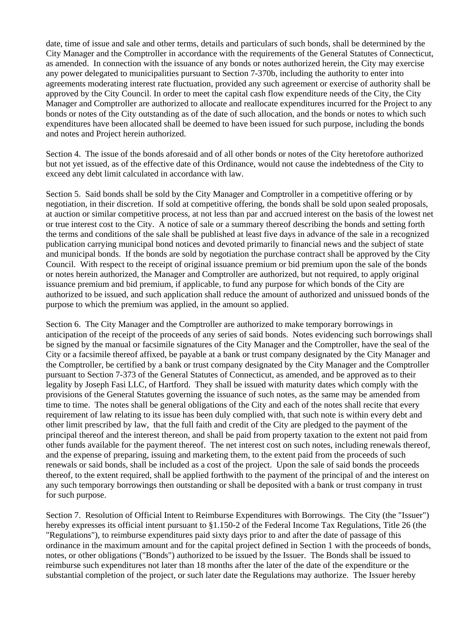date, time of issue and sale and other terms, details and particulars of such bonds, shall be determined by the City Manager and the Comptroller in accordance with the requirements of the General Statutes of Connecticut, as amended. In connection with the issuance of any bonds or notes authorized herein, the City may exercise any power delegated to municipalities pursuant to Section 7-370b, including the authority to enter into agreements moderating interest rate fluctuation, provided any such agreement or exercise of authority shall be approved by the City Council. In order to meet the capital cash flow expenditure needs of the City, the City Manager and Comptroller are authorized to allocate and reallocate expenditures incurred for the Project to any bonds or notes of the City outstanding as of the date of such allocation, and the bonds or notes to which such expenditures have been allocated shall be deemed to have been issued for such purpose, including the bonds and notes and Project herein authorized.

Section 4. The issue of the bonds aforesaid and of all other bonds or notes of the City heretofore authorized but not yet issued, as of the effective date of this Ordinance, would not cause the indebtedness of the City to exceed any debt limit calculated in accordance with law.

Section 5. Said bonds shall be sold by the City Manager and Comptroller in a competitive offering or by negotiation, in their discretion. If sold at competitive offering, the bonds shall be sold upon sealed proposals, at auction or similar competitive process, at not less than par and accrued interest on the basis of the lowest net or true interest cost to the City. A notice of sale or a summary thereof describing the bonds and setting forth the terms and conditions of the sale shall be published at least five days in advance of the sale in a recognized publication carrying municipal bond notices and devoted primarily to financial news and the subject of state and municipal bonds. If the bonds are sold by negotiation the purchase contract shall be approved by the City Council. With respect to the receipt of original issuance premium or bid premium upon the sale of the bonds or notes herein authorized, the Manager and Comptroller are authorized, but not required, to apply original issuance premium and bid premium, if applicable, to fund any purpose for which bonds of the City are authorized to be issued, and such application shall reduce the amount of authorized and unissued bonds of the purpose to which the premium was applied, in the amount so applied.

Section 6. The City Manager and the Comptroller are authorized to make temporary borrowings in anticipation of the receipt of the proceeds of any series of said bonds. Notes evidencing such borrowings shall be signed by the manual or facsimile signatures of the City Manager and the Comptroller, have the seal of the City or a facsimile thereof affixed, be payable at a bank or trust company designated by the City Manager and the Comptroller, be certified by a bank or trust company designated by the City Manager and the Comptroller pursuant to Section 7-373 of the General Statutes of Connecticut, as amended, and be approved as to their legality by Joseph Fasi LLC, of Hartford. They shall be issued with maturity dates which comply with the provisions of the General Statutes governing the issuance of such notes, as the same may be amended from time to time. The notes shall be general obligations of the City and each of the notes shall recite that every requirement of law relating to its issue has been duly complied with, that such note is within every debt and other limit prescribed by law, that the full faith and credit of the City are pledged to the payment of the principal thereof and the interest thereon, and shall be paid from property taxation to the extent not paid from other funds available for the payment thereof. The net interest cost on such notes, including renewals thereof, and the expense of preparing, issuing and marketing them, to the extent paid from the proceeds of such renewals or said bonds, shall be included as a cost of the project. Upon the sale of said bonds the proceeds thereof, to the extent required, shall be applied forthwith to the payment of the principal of and the interest on any such temporary borrowings then outstanding or shall be deposited with a bank or trust company in trust for such purpose.

Section 7. Resolution of Official Intent to Reimburse Expenditures with Borrowings. The City (the "Issuer") hereby expresses its official intent pursuant to §1.150-2 of the Federal Income Tax Regulations, Title 26 (the "Regulations"), to reimburse expenditures paid sixty days prior to and after the date of passage of this ordinance in the maximum amount and for the capital project defined in Section 1 with the proceeds of bonds, notes, or other obligations ("Bonds") authorized to be issued by the Issuer. The Bonds shall be issued to reimburse such expenditures not later than 18 months after the later of the date of the expenditure or the substantial completion of the project, or such later date the Regulations may authorize. The Issuer hereby